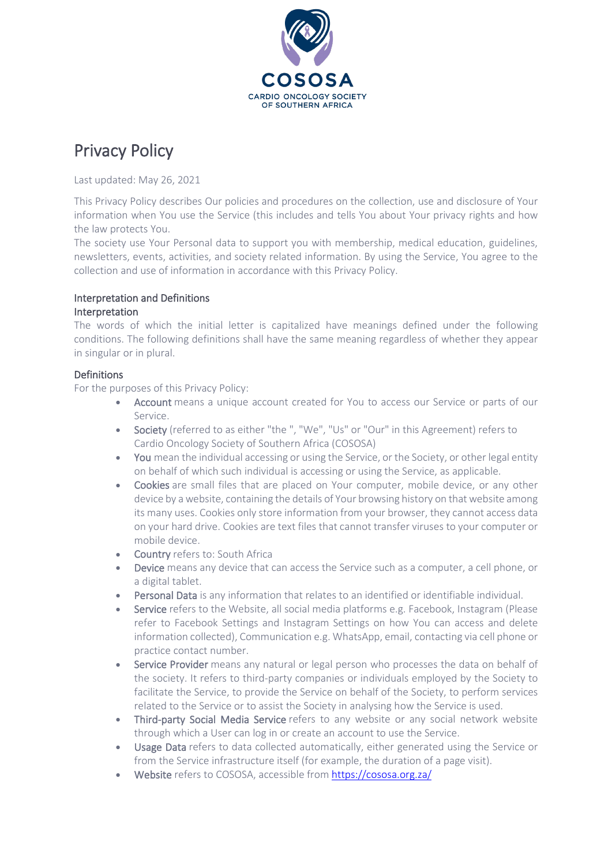

# Privacy Policy

Last updated: May 26, 2021

This Privacy Policy describes Our policies and procedures on the collection, use and disclosure of Your information when You use the Service (this includes and tells You about Your privacy rights and how the law protects You.

The society use Your Personal data to support you with membership, medical education, guidelines, newsletters, events, activities, and society related information. By using the Service, You agree to the collection and use of information in accordance with this Privacy Policy.

## Interpretation and Definitions

#### **Interpretation**

The words of which the initial letter is capitalized have meanings defined under the following conditions. The following definitions shall have the same meaning regardless of whether they appear in singular or in plural.

## Definitions

For the purposes of this Privacy Policy:

- Account means a unique account created for You to access our Service or parts of our Service.
- Society (referred to as either "the ", "We", "Us" or "Our" in this Agreement) refers to Cardio Oncology Society of Southern Africa (COSOSA)
- You mean the individual accessing or using the Service, or the Society, or other legal entity on behalf of which such individual is accessing or using the Service, as applicable.
- Cookies are small files that are placed on Your computer, mobile device, or any other device by a website, containing the details of Your browsing history on that website among its many uses. Cookies only store information from your browser, they cannot access data on your hard drive. Cookies are text files that cannot transfer viruses to your computer or mobile device.
- Country refers to: South Africa
- Device means any device that can access the Service such as a computer, a cell phone, or a digital tablet.
- Personal Data is any information that relates to an identified or identifiable individual.
- Service refers to the Website, all social media platforms e.g. Facebook, Instagram (Please refer to Facebook Settings and Instagram Settings on how You can access and delete information collected), Communication e.g. WhatsApp, email, contacting via cell phone or practice contact number.
- Service Provider means any natural or legal person who processes the data on behalf of the society. It refers to third-party companies or individuals employed by the Society to facilitate the Service, to provide the Service on behalf of the Society, to perform services related to the Service or to assist the Society in analysing how the Service is used.
- Third-party Social Media Service refers to any website or any social network website through which a User can log in or create an account to use the Service.
- **Usage Data** refers to data collected automatically, either generated using the Service or from the Service infrastructure itself (for example, the duration of a page visit).
- Website refers to COSOSA, accessible from <https://cososa.org.za/>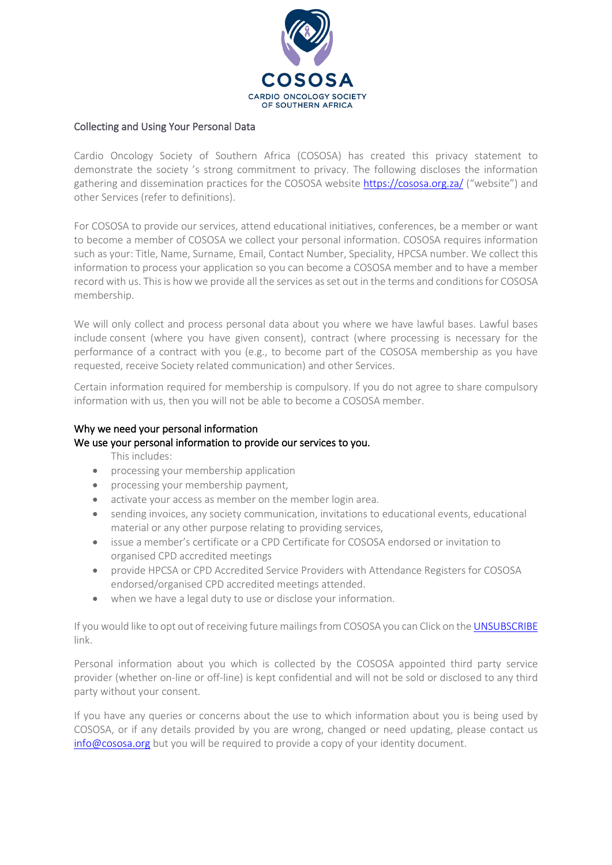

# Collecting and Using Your Personal Data

Cardio Oncology Society of Southern Africa (COSOSA) has created this privacy statement to demonstrate the society 's strong commitment to privacy. The following discloses the information gathering and dissemination practices for the COSOSA website <https://cososa.org.za/> ("website") and other Services (refer to definitions).

For COSOSA to provide our services, attend educational initiatives, conferences, be a member or want to become a member of COSOSA we collect your personal information. COSOSA requires information such as your: Title, Name, Surname, Email, Contact Number, Speciality, HPCSA number. We collect this information to process your application so you can become a COSOSA member and to have a member record with us. This is how we provide all the services as set out in the terms and conditions for COSOSA membership.

We will only collect and process personal data about you where we have lawful bases. Lawful bases include consent (where you have given consent), contract (where processing is necessary for the performance of a contract with you (e.g., to become part of the COSOSA membership as you have requested, receive Society related communication) and other Services.

Certain information required for membership is compulsory. If you do not agree to share compulsory information with us, then you will not be able to become a COSOSA member.

## Why we need your personal information

#### We use your personal information to provide our services to you.

This includes:

- processing your membership application
- processing your membership payment,
- activate your access as member on the member login area.
- sending invoices, any society communication, invitations to educational events, educational material or any other purpose relating to providing services,
- issue a member's certificate or a CPD Certificate for COSOSA endorsed or invitation to organised CPD accredited meetings
- provide HPCSA or CPD Accredited Service Providers with Attendance Registers for COSOSA endorsed/organised CPD accredited meetings attended.
- when we have a legal duty to use or disclose your information.

If you would like to opt out of receiving future mailings from COSOSA you can Click on the [UNSUBSCRIBE](https://form.jotform.com/210412183170542) link.

Personal information about you which is collected by the COSOSA appointed third party service provider (whether on-line or off-line) is kept confidential and will not be sold or disclosed to any third party without your consent.

If you have any queries or concerns about the use to which information about you is being used by COSOSA, or if any details provided by you are wrong, changed or need updating, please contact us [info@cososa.org](mailto:info@cososa.org) but you will be required to provide a copy of your identity document.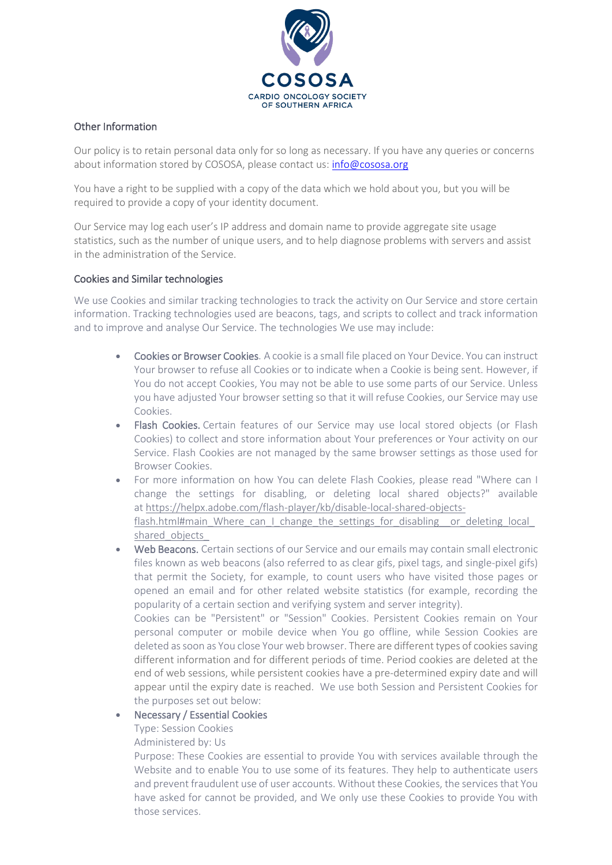

# Other Information

Our policy is to retain personal data only for so long as necessary. If you have any queries or concerns about information stored by COSOSA, please contact us: [info@cososa.org](mailto:info@cososa.org)

You have a right to be supplied with a copy of the data which we hold about you, but you will be required to provide a copy of your identity document.

Our Service may log each user's IP address and domain name to provide aggregate site usage statistics, such as the number of unique users, and to help diagnose problems with servers and assist in the administration of the Service.

# Cookies and Similar technologies

We use Cookies and similar tracking technologies to track the activity on Our Service and store certain information. Tracking technologies used are beacons, tags, and scripts to collect and track information and to improve and analyse Our Service. The technologies We use may include:

- Cookies or Browser Cookies. A cookie is a small file placed on Your Device. You can instruct Your browser to refuse all Cookies or to indicate when a Cookie is being sent. However, if You do not accept Cookies, You may not be able to use some parts of our Service. Unless you have adjusted Your browser setting so that it will refuse Cookies, our Service may use Cookies.
- Flash Cookies. Certain features of our Service may use local stored objects (or Flash Cookies) to collect and store information about Your preferences or Your activity on our Service. Flash Cookies are not managed by the same browser settings as those used for Browser Cookies.
- For more information on how You can delete Flash Cookies, please read "Where can I change the settings for disabling, or deleting local shared objects?" available at [https://helpx.adobe.com/flash-player/kb/disable-local-shared-objects](https://helpx.adobe.com/flash-player/kb/disable-local-shared-objects-flash.html#main_Where_can_I_change_the_settings_for_disabling__or_deleting_local_shared_objects_)[flash.html#main\\_Where\\_can\\_I\\_change\\_the\\_settings\\_for\\_disabling\\_\\_or\\_deleting\\_local\\_](https://helpx.adobe.com/flash-player/kb/disable-local-shared-objects-flash.html#main_Where_can_I_change_the_settings_for_disabling__or_deleting_local_shared_objects_) shared objects
- Web Beacons. Certain sections of our Service and our emails may contain small electronic files known as web beacons (also referred to as clear gifs, pixel tags, and single-pixel gifs) that permit the Society, for example, to count users who have visited those pages or opened an email and for other related website statistics (for example, recording the popularity of a certain section and verifying system and server integrity).

Cookies can be "Persistent" or "Session" Cookies. Persistent Cookies remain on Your personal computer or mobile device when You go offline, while Session Cookies are deleted as soon as You close Your web browser. There are different types of cookies saving different information and for different periods of time. Period cookies are deleted at the end of web sessions, while persistent cookies have a pre-determined expiry date and will appear until the expiry date is reached. We use both Session and Persistent Cookies for the purposes set out below:

• Necessary / Essential Cookies

Type: Session Cookies

Administered by: Us

Purpose: These Cookies are essential to provide You with services available through the Website and to enable You to use some of its features. They help to authenticate users and prevent fraudulent use of user accounts. Without these Cookies, the services that You have asked for cannot be provided, and We only use these Cookies to provide You with those services.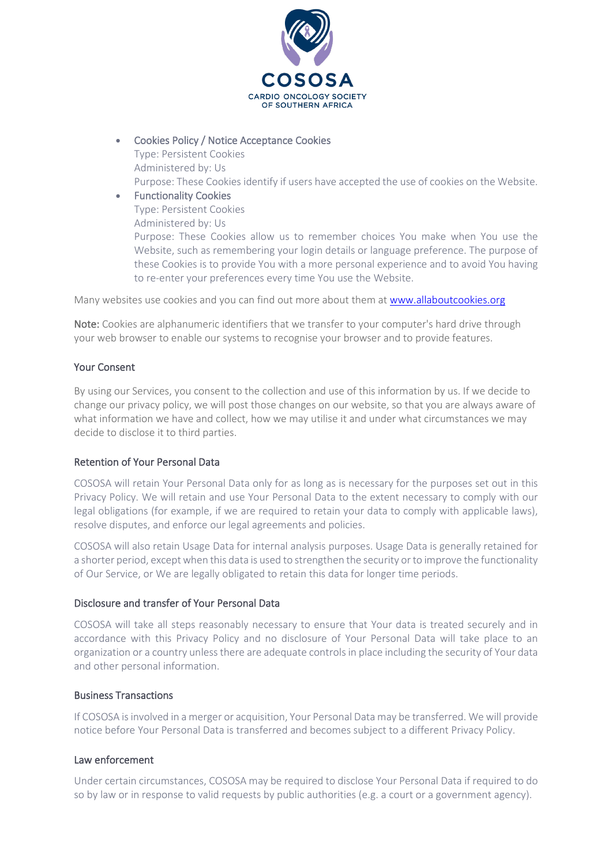

- Cookies Policy / Notice Acceptance Cookies
	- Type: Persistent Cookies Administered by: Us
	- Purpose: These Cookies identify if users have accepted the use of cookies on the Website.
- Functionality Cookies Type: Persistent Cookies Administered by: Us Purpose: These Cookies allow us to remember choices You make when You use the Website, such as remembering your login details or language preference. The purpose of these Cookies is to provide You with a more personal experience and to avoid You having to re-enter your preferences every time You use the Website.

Many websites use cookies and you can find out more about them at [www.allaboutcookies.org](https://www.allaboutcookies.org/)

Note: Cookies are alphanumeric identifiers that we transfer to your computer's hard drive through your web browser to enable our systems to recognise your browser and to provide features.

## Your Consent

By using our Services, you consent to the collection and use of this information by us. If we decide to change our privacy policy, we will post those changes on our website, so that you are always aware of what information we have and collect, how we may utilise it and under what circumstances we may decide to disclose it to third parties.

# Retention of Your Personal Data

COSOSA will retain Your Personal Data only for as long as is necessary for the purposes set out in this Privacy Policy. We will retain and use Your Personal Data to the extent necessary to comply with our legal obligations (for example, if we are required to retain your data to comply with applicable laws), resolve disputes, and enforce our legal agreements and policies.

COSOSA will also retain Usage Data for internal analysis purposes. Usage Data is generally retained for a shorter period, except when this data is used to strengthen the security or to improve the functionality of Our Service, or We are legally obligated to retain this data for longer time periods.

#### Disclosure and transfer of Your Personal Data

COSOSA will take all steps reasonably necessary to ensure that Your data is treated securely and in accordance with this Privacy Policy and no disclosure of Your Personal Data will take place to an organization or a country unless there are adequate controls in place including the security of Your data and other personal information.

#### Business Transactions

If COSOSA isinvolved in a merger or acquisition, Your Personal Data may be transferred. We will provide notice before Your Personal Data is transferred and becomes subject to a different Privacy Policy.

#### Law enforcement

Under certain circumstances, COSOSA may be required to disclose Your Personal Data if required to do so by law or in response to valid requests by public authorities (e.g. a court or a government agency).